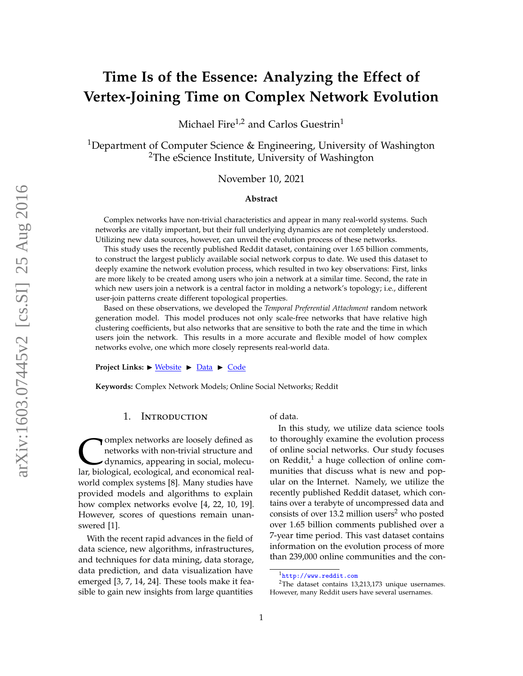# **Time Is of the Essence: Analyzing the Effect of Vertex-Joining Time on Complex Network Evolution**

Michael Fire<sup>1,2</sup> and Carlos Guestrin<sup>1</sup>

<sup>1</sup>Department of Computer Science & Engineering, University of Washington <sup>2</sup>The eScience Institute, University of Washington

November 10, 2021

#### **Abstract**

Complex networks have non-trivial characteristics and appear in many real-world systems. Such networks are vitally important, but their full underlying dynamics are not completely understood. Utilizing new data sources, however, can unveil the evolution process of these networks.

This study uses the recently published Reddit dataset, containing over 1.65 billion comments, to construct the largest publicly available social network corpus to date. We used this dataset to deeply examine the network evolution process, which resulted in two key observations: First, links are more likely to be created among users who join a network at a similar time. Second, the rate in which new users join a network is a central factor in molding a network's topology; i.e., different user-join patterns create different topological properties.

Based on these observations, we developed the *Temporal Preferential Attachment* random network generation model. This model produces not only scale-free networks that have relative high clustering coefficients, but also networks that are sensitive to both the rate and the time in which users join the network. This results in a more accurate and flexible model of how complex networks evolve, one which more closely represents real-world data.

**Project Links:**  $\triangleright$  <u>[Website](http://homes.cs.washington.edu/~fire/reddatait/)</u>  $\triangleright$  <u>[Data](http://homes.cs.washington.edu/~fire/reddatait/data.html)</u>  $\triangleright$  [Code](http://homes.cs.washington.edu/~fire/reddatait/code.html)

**Keywords:** Complex Network Models; Online Social Networks; Reddit

## 1. Introduction

Complex networks are loosely defined as<br>networks with non-trivial structure and<br>dynamics, appearing in social, molecu-<br>lar, biological, ecological, and economical realomplex networks are loosely defined as networks with non-trivial structure and dynamics, appearing in social, molecuworld complex systems [\[8\]](#page-13-0). Many studies have provided models and algorithms to explain how complex networks evolve [\[4,](#page-13-1) [22,](#page-14-0) [10,](#page-13-2) [19\]](#page-13-3). However, scores of questions remain unanswered [\[1\]](#page-13-4).

With the recent rapid advances in the field of data science, new algorithms, infrastructures, and techniques for data mining, data storage, data prediction, and data visualization have emerged [\[3,](#page-13-5) [7,](#page-13-6) [14,](#page-13-7) [24\]](#page-14-1). These tools make it feasible to gain new insights from large quantities

of data.

In this study, we utilize data science tools to thoroughly examine the evolution process of online social networks. Our study focuses on Reddit, $<sup>1</sup>$  $<sup>1</sup>$  $<sup>1</sup>$  a huge collection of online com-</sup> munities that discuss what is new and popular on the Internet. Namely, we utilize the recently published Reddit dataset, which contains over a terabyte of uncompressed data and consists of over 13.[2](#page-0-1) million users<sup>2</sup> who posted over 1.65 billion comments published over a 7-year time period. This vast dataset contains information on the evolution process of more than 239,000 online communities and the con-

<span id="page-0-1"></span><span id="page-0-0"></span><sup>1</sup><http://www.reddit.com>

<sup>2</sup>The dataset contains 13,213,173 unique usernames. However, many Reddit users have several usernames.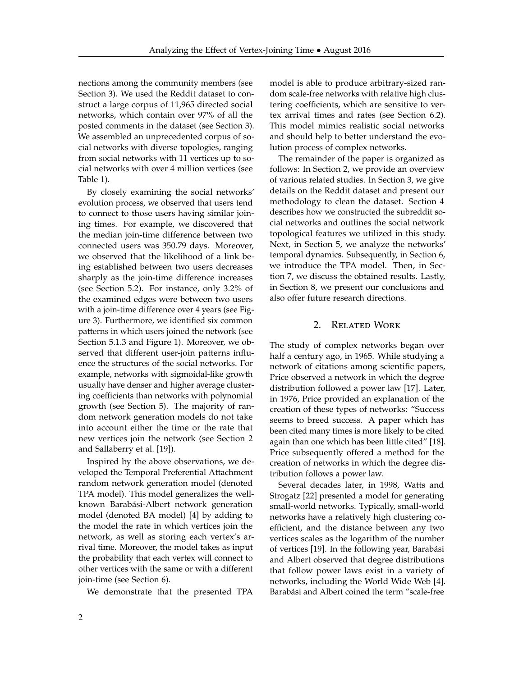nections among the community members (see Section [3\)](#page-3-0). We used the Reddit dataset to construct a large corpus of 11,965 directed social networks, which contain over 97% of all the posted comments in the dataset (see Section [3\)](#page-3-0). We assembled an unprecedented corpus of social networks with diverse topologies, ranging from social networks with 11 vertices up to social networks with over 4 million vertices (see Table [1\)](#page-6-0).

By closely examining the social networks' evolution process, we observed that users tend to connect to those users having similar joining times. For example, we discovered that the median join-time difference between two connected users was 350.79 days. Moreover, we observed that the likelihood of a link being established between two users decreases sharply as the join-time difference increases (see Section [5.2\)](#page-8-0). For instance, only 3.2% of the examined edges were between two users with a join-time difference over 4 years (see Figure [3\)](#page-9-0). Furthermore, we identified six common patterns in which users joined the network (see Section [5.1.3](#page-5-0) and Figure [1\)](#page-2-0). Moreover, we observed that different user-join patterns influence the structures of the social networks. For example, networks with sigmoidal-like growth usually have denser and higher average clustering coefficients than networks with polynomial growth (see Section [5\)](#page-5-1). The majority of random network generation models do not take into account either the time or the rate that new vertices join the network (see Section [2](#page-1-0) and Sallaberry et al. [\[19\]](#page-13-3)).

Inspired by the above observations, we developed the Temporal Preferential Attachment random network generation model (denoted TPA model). This model generalizes the wellknown Barabási-Albert network generation model (denoted BA model) [\[4\]](#page-13-1) by adding to the model the rate in which vertices join the network, as well as storing each vertex's arrival time. Moreover, the model takes as input the probability that each vertex will connect to other vertices with the same or with a different join-time (see Section [6\)](#page-8-1).

We demonstrate that the presented TPA

model is able to produce arbitrary-sized random scale-free networks with relative high clustering coefficients, which are sensitive to vertex arrival times and rates (see Section [6.2\)](#page-10-0). This model mimics realistic social networks and should help to better understand the evolution process of complex networks.

The remainder of the paper is organized as follows: In Section [2,](#page-1-0) we provide an overview of various related studies. In Section [3,](#page-3-0) we give details on the Reddit dataset and present our methodology to clean the dataset. Section [4](#page-3-1) describes how we constructed the subreddit social networks and outlines the social network topological features we utilized in this study. Next, in Section [5,](#page-5-1) we analyze the networks' temporal dynamics. Subsequently, in Section [6,](#page-8-1) we introduce the TPA model. Then, in Section [7,](#page-11-0) we discuss the obtained results. Lastly, in Section [8,](#page-12-0) we present our conclusions and also offer future research directions.

#### 2. Related Work

<span id="page-1-0"></span>The study of complex networks began over half a century ago, in 1965. While studying a network of citations among scientific papers, Price observed a network in which the degree distribution followed a power law [\[17\]](#page-13-8). Later, in 1976, Price provided an explanation of the creation of these types of networks: "Success seems to breed success. A paper which has been cited many times is more likely to be cited again than one which has been little cited" [\[18\]](#page-13-9). Price subsequently offered a method for the creation of networks in which the degree distribution follows a power law.

Several decades later, in 1998, Watts and Strogatz [\[22\]](#page-14-0) presented a model for generating small-world networks. Typically, small-world networks have a relatively high clustering coefficient, and the distance between any two vertices scales as the logarithm of the number of vertices [\[19\]](#page-13-3). In the following year, Barabási and Albert observed that degree distributions that follow power laws exist in a variety of networks, including the World Wide Web [\[4\]](#page-13-1). Barabási and Albert coined the term "scale-free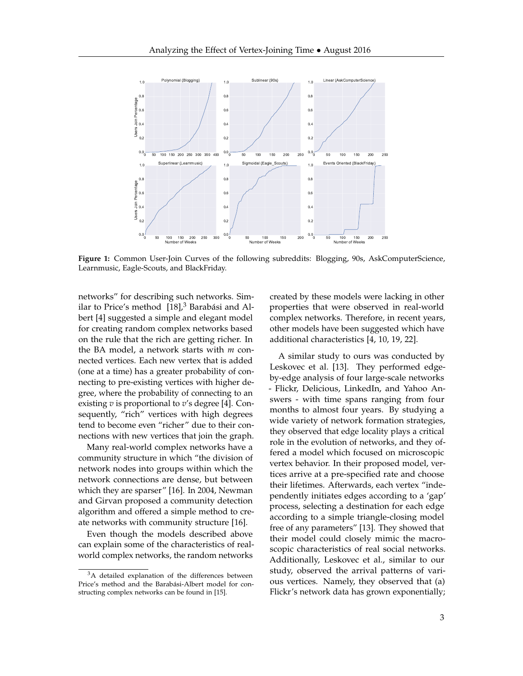<span id="page-2-0"></span>

**Figure 1:** Common User-Join Curves of the following subreddits: Blogging, 90s, AskComputerScience, Learnmusic, Eagle-Scouts, and BlackFriday.

networks" for describing such networks. Similar to Price's method  $[18]$ ,<sup>[3](#page-2-1)</sup> Barabási and Albert [\[4\]](#page-13-1) suggested a simple and elegant model for creating random complex networks based on the rule that the rich are getting richer. In the BA model, a network starts with *m* connected vertices. Each new vertex that is added (one at a time) has a greater probability of connecting to pre-existing vertices with higher degree, where the probability of connecting to an existing *v* is proportional to *v*'s degree [\[4\]](#page-13-1). Consequently, "rich" vertices with high degrees tend to become even "richer" due to their connections with new vertices that join the graph.

Many real-world complex networks have a community structure in which "the division of network nodes into groups within which the network connections are dense, but between which they are sparser" [\[16\]](#page-13-10). In 2004, Newman and Girvan proposed a community detection algorithm and offered a simple method to create networks with community structure [\[16\]](#page-13-10).

Even though the models described above can explain some of the characteristics of realworld complex networks, the random networks

created by these models were lacking in other properties that were observed in real-world complex networks. Therefore, in recent years, other models have been suggested which have additional characteristics [\[4,](#page-13-1) [10,](#page-13-2) [19,](#page-13-3) [22\]](#page-14-0).

A similar study to ours was conducted by Leskovec et al. [\[13\]](#page-13-12). They performed edgeby-edge analysis of four large-scale networks - Flickr, Delicious, LinkedIn, and Yahoo Answers - with time spans ranging from four months to almost four years. By studying a wide variety of network formation strategies, they observed that edge locality plays a critical role in the evolution of networks, and they offered a model which focused on microscopic vertex behavior. In their proposed model, vertices arrive at a pre-specified rate and choose their lifetimes. Afterwards, each vertex "independently initiates edges according to a 'gap' process, selecting a destination for each edge according to a simple triangle-closing model free of any parameters" [\[13\]](#page-13-12). They showed that their model could closely mimic the macroscopic characteristics of real social networks. Additionally, Leskovec et al., similar to our study, observed the arrival patterns of various vertices. Namely, they observed that (a) Flickr's network data has grown exponentially;

<span id="page-2-1"></span><sup>&</sup>lt;sup>3</sup>A detailed explanation of the differences between Price's method and the Barabási-Albert model for constructing complex networks can be found in [\[15\]](#page-13-11).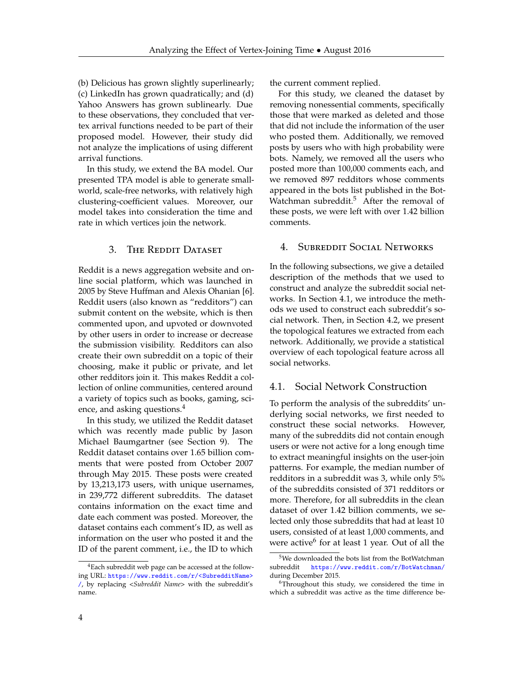(b) Delicious has grown slightly superlinearly; (c) LinkedIn has grown quadratically; and (d) Yahoo Answers has grown sublinearly. Due to these observations, they concluded that vertex arrival functions needed to be part of their proposed model. However, their study did not analyze the implications of using different arrival functions.

In this study, we extend the BA model. Our presented TPA model is able to generate smallworld, scale-free networks, with relatively high clustering-coefficient values. Moreover, our model takes into consideration the time and rate in which vertices join the network.

# <span id="page-3-0"></span>3. THE REDDIT DATASET

Reddit is a news aggregation website and online social platform, which was launched in 2005 by Steve Huffman and Alexis Ohanian [\[6\]](#page-13-13). Reddit users (also known as "redditors") can submit content on the website, which is then commented upon, and upvoted or downvoted by other users in order to increase or decrease the submission visibility. Redditors can also create their own subreddit on a topic of their choosing, make it public or private, and let other redditors join it. This makes Reddit a collection of online communities, centered around a variety of topics such as books, gaming, sci-ence, and asking questions.<sup>[4](#page-3-2)</sup>

In this study, we utilized the Reddit dataset which was recently made public by Jason Michael Baumgartner (see Section [9\)](#page-12-1). The Reddit dataset contains over 1.65 billion comments that were posted from October 2007 through May 2015. These posts were created by 13,213,173 users, with unique usernames, in 239,772 different subreddits. The dataset contains information on the exact time and date each comment was posted. Moreover, the dataset contains each comment's ID, as well as information on the user who posted it and the ID of the parent comment, i.e., the ID to which the current comment replied.

For this study, we cleaned the dataset by removing nonessential comments, specifically those that were marked as deleted and those that did not include the information of the user who posted them. Additionally, we removed posts by users who with high probability were bots. Namely, we removed all the users who posted more than 100,000 comments each, and we removed 897 redditors whose comments appeared in the bots list published in the Bot-Watchman subreddit.<sup>[5](#page-3-3)</sup> After the removal of these posts, we were left with over 1.42 billion comments.

# <span id="page-3-1"></span>4. Subreddit Social Networks

In the following subsections, we give a detailed description of the methods that we used to construct and analyze the subreddit social networks. In Section [4.1,](#page-3-4) we introduce the methods we used to construct each subreddit's social network. Then, in Section [4.2,](#page-4-0) we present the topological features we extracted from each network. Additionally, we provide a statistical overview of each topological feature across all social networks.

# <span id="page-3-4"></span>4.1. Social Network Construction

To perform the analysis of the subreddits' underlying social networks, we first needed to construct these social networks. However, many of the subreddits did not contain enough users or were not active for a long enough time to extract meaningful insights on the user-join patterns. For example, the median number of redditors in a subreddit was 3, while only 5% of the subreddits consisted of 371 redditors or more. Therefore, for all subreddits in the clean dataset of over 1.42 billion comments, we selected only those subreddits that had at least 10 users, consisted of at least 1,000 comments, and were active<sup>[6](#page-3-5)</sup> for at least 1 year. Out of all the

<span id="page-3-2"></span><sup>4</sup>Each subreddit web page can be accessed at the following URL: [https://www.reddit.com/r/<SubredditName>](https://www.reddit.com/r/<Subreddit Name>/) [/](https://www.reddit.com/r/<Subreddit Name>/), by replacing *<Subreddit Name>* with the subreddit's name.

<span id="page-3-3"></span> $\overline{5W}$ e downloaded the bots list from the BotWatchman subreddit <https://www.reddit.com/r/BotWatchman/> during December 2015.

<span id="page-3-5"></span><sup>&</sup>lt;sup>6</sup>Throughout this study, we considered the time in which a subreddit was active as the time difference be-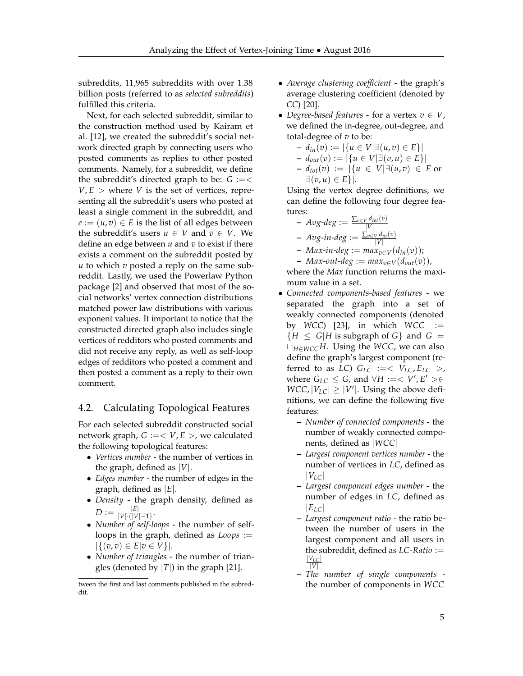subreddits, 11,965 subreddits with over 1.38 billion posts (referred to as *selected subreddits*) fulfilled this criteria.

Next, for each selected subreddit, similar to the construction method used by Kairam et al. [\[12\]](#page-13-14), we created the subreddit's social network directed graph by connecting users who posted comments as replies to other posted comments. Namely, for a subreddit, we define the subreddit's directed graph to be:  $G := \lt$  $V, E >$  where *V* is the set of vertices, representing all the subreddit's users who posted at least a single comment in the subreddit, and  $e := (u, v) \in E$  is the list of all edges between the subreddit's users  $u \in V$  and  $v \in V$ . We define an edge between *u* and *v* to exist if there exists a comment on the subreddit posted by *u* to which *v* posted a reply on the same subreddit. Lastly, we used the Powerlaw Python package [\[2\]](#page-13-15) and observed that most of the social networks' vertex connection distributions matched power law distributions with various exponent values. It important to notice that the constructed directed graph also includes single vertices of redditors who posted comments and did not receive any reply, as well as self-loop edges of redditors who posted a comment and then posted a comment as a reply to their own comment.

# <span id="page-4-0"></span>4.2. Calculating Topological Features

For each selected subreddit constructed social network graph,  $G := < V, E >$ , we calculated the following topological features:

- *Vertices number* the number of vertices in the graph, defined as |*V*|.
- *Edges number* the number of edges in the graph, defined as |*E*|.
- *Density* the graph density, defined as  $D := \frac{|E|}{|V| \cdot (|V|)}$  $\frac{|V|}{|V| \cdot (|V|-1)}$ .
- *Number of self-loops* the number of selfloops in the graph, defined as *Loops* :=  $|\{(v, v) \in E | v \in V\}|.$
- *Number of triangles* the number of triangles (denoted by  $|T|$ ) in the graph [\[21\]](#page-14-2).
- *Average clustering coefficient* the graph's average clustering coefficient (denoted by *CC*) [\[20\]](#page-14-3).
- *Degree-based features* for a vertex  $v \in V$ , we defined the in-degree, out-degree, and total-degree of *v* to be:

$$
- d_{in}(v) := |\{u \in V | \exists (u, v) \in E\}|
$$
  
\n
$$
- d_{out}(v) := |\{u \in V | \exists (v, u) \in E\}|
$$
  
\n
$$
- d_{tot}(v) := |\{u \in V | \exists (u, v) \in E \text{ or } \exists (v, u) \in E\}|.
$$

Using the vertex degree definitions, we can define the following four degree features:

$$
\begin{array}{l}\n\text{-} \text{ Avg-deg} := \frac{\sum_{v \in V} d_{tot}(v)}{|V|} \\
\text{-} \text{ Avg-in-deg} := \frac{\sum_{v \in V} d_{in}(v)}{|V|}\n\end{array}
$$

$$
- N\alpha g \cdot n \cdot \alpha g := \frac{|v|}{|v|}
$$
  
- Max-in-deg := max<sub>v\in V</sub>(d<sub>in</sub>(v));

 $-$  *Max-out-deg* :=  $max_{v \in V}(d_{out}(v))$ ,

where the *Max* function returns the maximum value in a set.

- *Connected components-based features* we separated the graph into a set of weakly connected components (denoted by *WCC*) [\[23\]](#page-14-4), in which *WCC* :=  ${H \le G|H \text{ is subgraph of } G}$  and  $G =$ t*H*∈*WCCH*. Using the *WCC*, we can also define the graph's largest component (referred to as *LC*)  $G_{LC} := \langle V_{LC}, E_{LC} \rangle$ , where  $G_{LC} \leq G$ , and  $\forall H := < V', E' > \in$  $WCC$ ,  $|V_{LC}| \ge |V'|$ . Using the above definitions, we can define the following five features:
	- **–** *Number of connected components* the number of weakly connected components, defined as |*WCC*|
	- **–** *Largest component vertices number* the number of vertices in *LC*, defined as  $|V_{LC}|$
	- **–** *Largest component edges number* the number of edges in *LC*, defined as  $|E_{LC}|$
	- **–** *Largest component ratio* the ratio between the number of users in the largest component and all users in the subreddit, defined as *LC*-*Ratio* := |*VLC*| |*V*|
	- **–** *The number of single components* the number of components in *WCC*

tween the first and last comments published in the subreddit.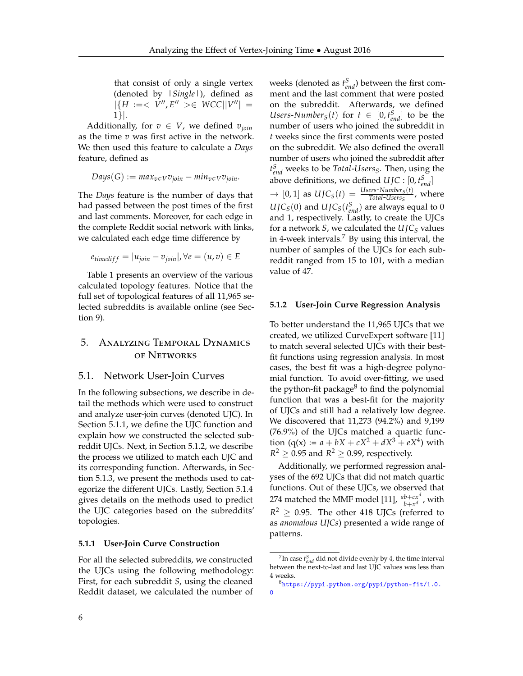that consist of only a single vertex (denoted by *|Single|*), defined as  $|{H} := < V'', E'' > \in WCC||V''| =$ 1}|.

Additionally, for  $v \in V$ , we defined  $v_{\text{join}}$ as the time *v* was first active in the network. We then used this feature to calculate a *Days* feature, defined as

$$
Days(G) := max_{v \in V} v_{join} - min_{v \in V} v_{join}.
$$

The *Days* feature is the number of days that had passed between the post times of the first and last comments. Moreover, for each edge in the complete Reddit social network with links, we calculated each edge time difference by

$$
e_{timediff} = |u_{join} - v_{join}|, \forall e = (u, v) \in E
$$

Table [1](#page-6-0) presents an overview of the various calculated topology features. Notice that the full set of topological features of all 11,965 selected subreddits is available online (see Section [9\)](#page-12-1).

# <span id="page-5-1"></span>5. Analyzing Temporal Dynamics of Networks

# 5.1. Network User-Join Curves

In the following subsections, we describe in detail the methods which were used to construct and analyze user-join curves (denoted UJC). In Section [5.1.1,](#page-5-2) we define the UJC function and explain how we constructed the selected subreddit UJCs. Next, in Section [5.1.2,](#page-5-3) we describe the process we utilized to match each UJC and its corresponding function. Afterwards, in Section [5.1.3,](#page-5-0) we present the methods used to categorize the different UJCs. Lastly, Section [5.1.4](#page-7-0) gives details on the methods used to predict the UJC categories based on the subreddits' topologies.

## <span id="page-5-2"></span>**5.1.1 User-Join Curve Construction**

For all the selected subreddits, we constructed the UJCs using the following methodology: First, for each subreddit *S*, using the cleaned Reddit dataset, we calculated the number of

weeks (denoted as  $t_{end}^S$ ) between the first comment and the last comment that were posted on the subreddit. Afterwards, we defined Users-*Number*<sub>*S*</sub>(*t*) for  $t \in [0, t_{end}^S]$  to be the number of users who joined the subreddit in *t* weeks since the first comments were posted on the subreddit. We also defined the overall number of users who joined the subreddit after *t S end* weeks to be *Total*-*UsersS*. Then, using the above definitions, we defined  $U$ *JC* :  $[0, t_{end}^S]$  $\rightarrow$  [0, 1] as  $U J C_S(t) = \frac{U s e r s - N u m b e r_S(t)}{Total - U s e r s_S}$ , where  $U$ *J*C<sub>*S*</sub>(0) and *UJ*C<sub>*S*</sub>( $t_{end}$ <sup>*S*</sup>) are always equal to 0 and 1, respectively. Lastly, to create the UJCs for a network *S*, we calculated the *U JC<sup>S</sup>* values in 4-week intervals.<sup>[7](#page-5-4)</sup> By using this interval, the number of samples of the UJCs for each subreddit ranged from 15 to 101, with a median value of 47.

#### <span id="page-5-3"></span>**5.1.2 User-Join Curve Regression Analysis**

To better understand the 11,965 UJCs that we created, we utilized CurveExpert software [\[11\]](#page-13-16) to match several selected UJCs with their bestfit functions using regression analysis. In most cases, the best fit was a high-degree polynomial function. To avoid over-fitting, we used the python-fit package<sup>[8](#page-5-5)</sup> to find the polynomial function that was a best-fit for the majority of UJCs and still had a relatively low degree. We discovered that 11,273 (94.2%) and 9,199 (76.9%) of the UJCs matched a quartic function (q(x) :=  $a + bX + cX^2 + dX^3 + eX^4$ ) with  $R^2 \geq 0.95$  and  $R^2 \geq 0.99$ , respectively.

Additionally, we performed regression analyses of the 692 UJCs that did not match quartic functions. Out of these UJCs, we observed that 274 matched the MMF model [\[11\]](#page-13-16),  $\frac{ab+cx^d}{b+x^d}$ , with  $R^2 \geq 0.95$ . The other 418 UJCs (referred to as *anomalous UJCs*) presented a wide range of patterns.

<span id="page-5-4"></span><span id="page-5-0"></span><sup>&</sup>lt;sup>7</sup>In case  $t_{end}$  did not divide evenly by 4, the time interval between the next-to-last and last UJC values was less than 4 weeks.

<span id="page-5-5"></span><sup>8</sup>[https://pypi.python.org/pypi/python-fit/1.0.](https://pypi.python.org/pypi/python-fit/1.0.0)  $\Omega$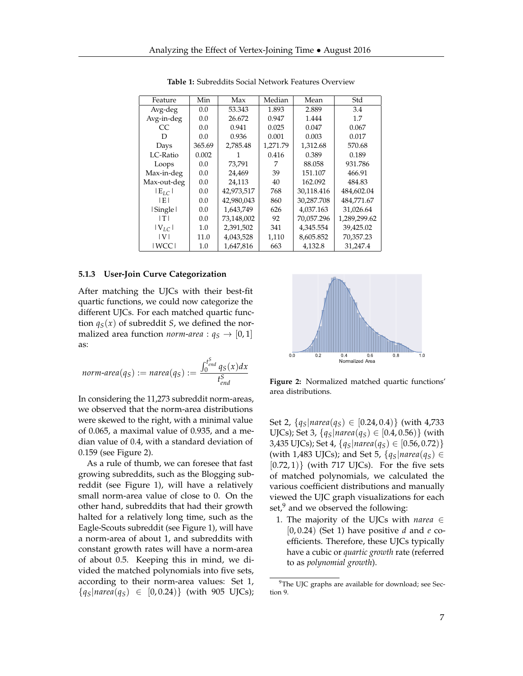<span id="page-6-0"></span>

| Feature     | Min    | Max        | Median   | Mean       | Std          |
|-------------|--------|------------|----------|------------|--------------|
| Avg-deg     | 0.0    | 53.343     | 1.893    | 2.889      | 3.4          |
| Avg-in-deg  | 0.0    | 26.672     | 0.947    | 1.444      | 1.7          |
| CC.         | 0.0    | 0.941      | 0.025    | 0.047      | 0.067        |
| D           | 0.0    | 0.936      | 0.001    | 0.003      | 0.017        |
| Days        | 365.69 | 2,785.48   | 1,271.79 | 1,312.68   | 570.68       |
| LC-Ratio    | 0.002  |            | 0.416    | 0.389      | 0.189        |
| Loops       | 0.0    | 73,791     | 7        | 88.058     | 931.786      |
| Max-in-deg  | 0.0    | 24,469     | 39       | 151.107    | 466.91       |
| Max-out-deg | 0.0    | 24,113     | 40       | 162.092    | 484.83       |
| $ E_{IC} $  | 0.0    | 42,973,517 | 768      | 30,118.416 | 484,602.04   |
| IEI         | 0.0    | 42,980,043 | 860      | 30,287.708 | 484,771.67   |
| Single      | 0.0    | 1,643,749  | 626      | 4,037.163  | 31,026.64    |
| ITI         | 0.0    | 73,148,002 | 92       | 70,057.296 | 1,289,299.62 |
| $ V_{IC} $  | 1.0    | 2,391,502  | 341      | 4,345.554  | 39,425.02    |
| V           | 11.0   | 4,043,528  | 1,110    | 8,605.852  | 70,357.23    |
| I WCC I     | 1.0    | 1,647,816  | 663      | 4,132.8    | 31,247.4     |

**Table 1:** Subreddits Social Network Features Overview

#### **5.1.3 User-Join Curve Categorization**

After matching the UJCs with their best-fit quartic functions, we could now categorize the different UJCs. For each matched quartic function  $q_S(x)$  of subreddit *S*, we defined the normalized area function *norm-area* :  $q_S \rightarrow [0,1]$ as:

$$
norm\text{-}area(q_S) := narea(q_S) := \frac{\int_0^{t_{end}^S} q_S(x)dx}{t_{end}^S}
$$

In considering the 11,273 subreddit norm-areas, we observed that the norm-area distributions were skewed to the right, with a minimal value of 0.065, a maximal value of 0.935, and a median value of 0.4, with a standard deviation of 0.159 (see Figure [2\)](#page-6-1).

As a rule of thumb, we can foresee that fast growing subreddits, such as the Blogging subreddit (see Figure [1\)](#page-2-0), will have a relatively small norm-area value of close to 0. On the other hand, subreddits that had their growth halted for a relatively long time, such as the Eagle-Scouts subreddit (see Figure [1\)](#page-2-0), will have a norm-area of about 1, and subreddits with constant growth rates will have a norm-area of about 0.5. Keeping this in mind, we divided the matched polynomials into five sets, according to their norm-area values: Set 1,  ${q_s|narea(q_s) \in [0, 0.24)}$  (with 905 UJCs);

<span id="page-6-1"></span>

**Figure 2:** Normalized matched quartic functions' area distributions.

Set 2,  $\{q_S | \text{narea}(q_S) \in [0.24, 0.4)\}$  (with 4,733) UJCs); Set 3,  $\{q_S | \text{narea}(q_S) \in [0.4, 0.56)\}$  (with 3,435 UJCs); Set 4, {*qS*|*narea*(*qS*) ∈ [0.56, 0.72)} (with 1,483 UJCs); and Set 5,  $\{q_S | \text{narea}(q_S) \in$  $[0.72, 1)$  (with 717 UJCs). For the five sets of matched polynomials, we calculated the various coefficient distributions and manually viewed the UJC graph visualizations for each set, $9$  and we observed the following:

1. The majority of the UJCs with *narea* ∈ [0, 0.24) (Set 1) have positive *d* and *e* coefficients. Therefore, these UJCs typically have a cubic or *quartic growth* rate (referred to as *polynomial growth*).

<span id="page-6-2"></span><sup>&</sup>lt;sup>9</sup>The UJC graphs are available for download; see Section [9.](#page-12-1)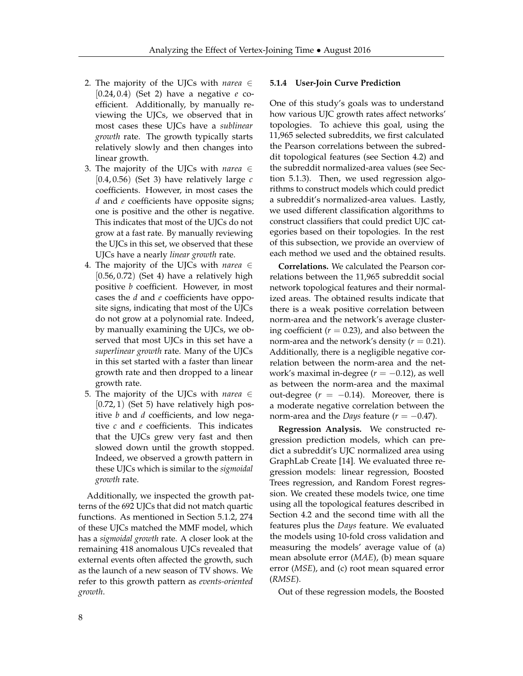- 2. The majority of the UJCs with *narea* ∈ [0.24, 0.4) (Set 2) have a negative *e* coefficient. Additionally, by manually reviewing the UJCs, we observed that in most cases these UJCs have a *sublinear growth* rate. The growth typically starts relatively slowly and then changes into linear growth.
- 3. The majority of the UJCs with *narea* ∈ [0.4, 0.56) (Set 3) have relatively large *c* coefficients. However, in most cases the *d* and *e* coefficients have opposite signs; one is positive and the other is negative. This indicates that most of the UJCs do not grow at a fast rate. By manually reviewing the UJCs in this set, we observed that these UJCs have a nearly *linear growth* rate.
- 4. The majority of the UJCs with *narea* ∈  $[0.56, 0.72)$  (Set 4) have a relatively high positive *b* coefficient. However, in most cases the *d* and *e* coefficients have opposite signs, indicating that most of the UJCs do not grow at a polynomial rate. Indeed, by manually examining the UJCs, we observed that most UJCs in this set have a *superlinear growth* rate. Many of the UJCs in this set started with a faster than linear growth rate and then dropped to a linear growth rate.
- 5. The majority of the UJCs with *narea* ∈  $[0.72, 1)$  (Set 5) have relatively high positive *b* and *d* coefficients, and low negative *c* and *e* coefficients. This indicates that the UJCs grew very fast and then slowed down until the growth stopped. Indeed, we observed a growth pattern in these UJCs which is similar to the *sigmoidal growth* rate.

<span id="page-7-0"></span>Additionally, we inspected the growth patterns of the 692 UJCs that did not match quartic functions. As mentioned in Section [5.1.2,](#page-5-3) 274 of these UJCs matched the MMF model, which has a *sigmoidal growth* rate. A closer look at the remaining 418 anomalous UJCs revealed that external events often affected the growth, such as the launch of a new season of TV shows. We refer to this growth pattern as *events-oriented growth*.

#### **5.1.4 User-Join Curve Prediction**

One of this study's goals was to understand how various UJC growth rates affect networks' topologies. To achieve this goal, using the 11,965 selected subreddits, we first calculated the Pearson correlations between the subreddit topological features (see Section [4.2\)](#page-4-0) and the subreddit normalized-area values (see Section [5.1.3\)](#page-5-0). Then, we used regression algorithms to construct models which could predict a subreddit's normalized-area values. Lastly, we used different classification algorithms to construct classifiers that could predict UJC categories based on their topologies. In the rest of this subsection, we provide an overview of each method we used and the obtained results.

**Correlations.** We calculated the Pearson correlations between the 11,965 subreddit social network topological features and their normalized areas. The obtained results indicate that there is a weak positive correlation between norm-area and the network's average clustering coefficient  $(r = 0.23)$ , and also between the norm-area and the network's density  $(r = 0.21)$ . Additionally, there is a negligible negative correlation between the norm-area and the network's maximal in-degree  $(r = -0.12)$ , as well as between the norm-area and the maximal out-degree  $(r = -0.14)$ . Moreover, there is a moderate negative correlation between the norm-area and the *Days* feature  $(r = -0.47)$ .

**Regression Analysis.** We constructed regression prediction models, which can predict a subreddit's UJC normalized area using GraphLab Create [\[14\]](#page-13-7). We evaluated three regression models: linear regression, Boosted Trees regression, and Random Forest regression. We created these models twice, one time using all the topological features described in Section [4.2](#page-4-0) and the second time with all the features plus the *Days* feature. We evaluated the models using 10-fold cross validation and measuring the models' average value of (a) mean absolute error (*MAE*), (b) mean square error (*MSE*), and (c) root mean squared error (*RMSE*).

Out of these regression models, the Boosted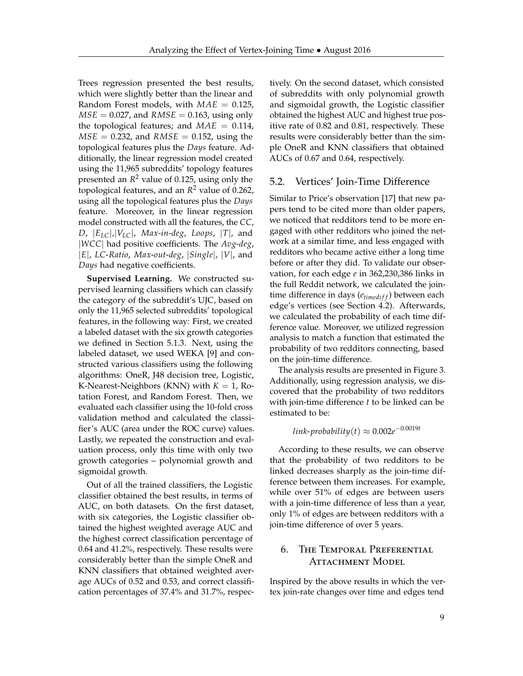Trees regression presented the best results, which were slightly better than the linear and Random Forest models, with *MAE* = 0.125,  $MSE = 0.027$ , and  $RMSE = 0.163$ , using only the topological features; and  $MAE = 0.114$ ,  $MSE = 0.232$ , and  $RMSE = 0.152$ , using the topological features plus the *Days* feature. Additionally, the linear regression model created using the 11,965 subreddits' topology features presented an *R* <sup>2</sup> value of 0.125, using only the topological features, and an *R* <sup>2</sup> value of 0.262, using all the topological features plus the *Days* feature. Moreover, in the linear regression model constructed with all the features, the *CC*, *D*,  $|E_{LC}|$ ,  $|V_{LC}|$ , *Max-in-deg*, *Loops*,  $|T|$ , and |*WCC*| had positive coefficients. The *Avg*-*deg*, |*E*|, *LC*-*Ratio*, *Max*-*out*-*deg*, |*Single*|, |*V*|, and *Days* had negative coefficients.

**Supervised Learning.** We constructed supervised learning classifiers which can classify the category of the subreddit's UJC, based on only the 11,965 selected subreddits' topological features, in the following way: First, we created a labeled dataset with the six growth categories we defined in Section [5.1.3.](#page-5-0) Next, using the labeled dataset, we used WEKA [\[9\]](#page-13-17) and constructed various classifiers using the following algorithms: OneR, J48 decision tree, Logistic, K-Nearest-Neighbors (KNN) with  $K = 1$ , Rotation Forest, and Random Forest. Then, we evaluated each classifier using the 10-fold cross validation method and calculated the classifier's AUC (area under the ROC curve) values. Lastly, we repeated the construction and evaluation process, only this time with only two growth categories – polynomial growth and sigmoidal growth.

Out of all the trained classifiers, the Logistic classifier obtained the best results, in terms of AUC, on both datasets. On the first dataset, with six categories, the Logistic classifier obtained the highest weighted average AUC and the highest correct classification percentage of 0.64 and 41.2%, respectively. These results were considerably better than the simple OneR and KNN classifiers that obtained weighted average AUCs of 0.52 and 0.53, and correct classification percentages of 37.4% and 31.7%, respectively. On the second dataset, which consisted of subreddits with only polynomial growth and sigmoidal growth, the Logistic classifier obtained the highest AUC and highest true positive rate of 0.82 and 0.81, respectively. These results were considerably better than the simple OneR and KNN classifiers that obtained AUCs of 0.67 and 0.64, respectively.

# <span id="page-8-0"></span>5.2. Vertices' Join-Time Difference

Similar to Price's observation [\[17\]](#page-13-8) that new papers tend to be cited more than older papers, we noticed that redditors tend to be more engaged with other redditors who joined the network at a similar time, and less engaged with redditors who became active either a long time before or after they did. To validate our observation, for each edge *e* in 362,230,386 links in the full Reddit network, we calculated the jointime difference in days (*etimedi f f*) between each edge's vertices (see Section [4.2\)](#page-4-0). Afterwards, we calculated the probability of each time difference value. Moreover, we utilized regression analysis to match a function that estimated the probability of two redditors connecting, based on the join-time difference.

The analysis results are presented in Figure [3.](#page-9-0) Additionally, using regression analysis, we discovered that the probability of two redditors with join-time difference *t* to be linked can be estimated to be:

*link*-*probability*(*t*) ≈ 0.002*e* −0.0019*t*

According to these results, we can observe that the probability of two redditors to be linked decreases sharply as the join-time difference between them increases. For example, while over 51% of edges are between users with a join-time difference of less than a year, only 1% of edges are between redditors with a join-time difference of over 5 years.

# <span id="page-8-1"></span>6. The Temporal Preferential ATTACHMENT MODEL

Inspired by the above results in which the vertex join-rate changes over time and edges tend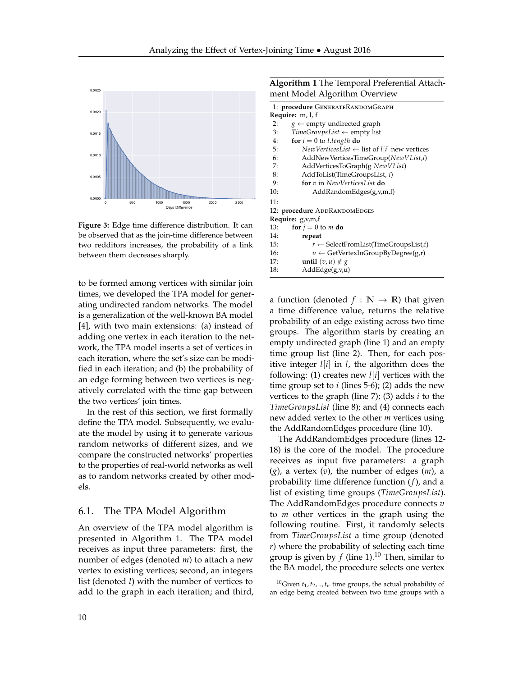<span id="page-9-0"></span>

**Figure 3:** Edge time difference distribution. It can be observed that as the join-time difference between two redditors increases, the probability of a link between them decreases sharply.

to be formed among vertices with similar join times, we developed the TPA model for generating undirected random networks. The model is a generalization of the well-known BA model [\[4\]](#page-13-1), with two main extensions: (a) instead of adding one vertex in each iteration to the network, the TPA model inserts a set of vertices in each iteration, where the set's size can be modified in each iteration; and (b) the probability of an edge forming between two vertices is negatively correlated with the time gap between the two vertices' join times.

In the rest of this section, we first formally define the TPA model. Subsequently, we evaluate the model by using it to generate various random networks of different sizes, and we compare the constructed networks' properties to the properties of real-world networks as well as to random networks created by other models.

# 6.1. The TPA Model Algorithm

An overview of the TPA model algorithm is presented in Algorithm 1. The TPA model receives as input three parameters: first, the number of edges (denoted *m*) to attach a new vertex to existing vertices; second, an integers list (denoted *l*) with the number of vertices to add to the graph in each iteration; and third,

| <b>Algorithm 1</b> The Temporal Preferential Attach- |  |
|------------------------------------------------------|--|
| ment Model Algorithm Overview                        |  |

| 1: procedure GENERATERANDOMGRAPH                               |  |  |  |
|----------------------------------------------------------------|--|--|--|
| <b>Require:</b> m, l, f                                        |  |  |  |
| 2:<br>$g \leftarrow$ empty undirected graph                    |  |  |  |
| 3:<br>$TimeGroupsList \leftarrow \text{empty list}$            |  |  |  |
| 4:<br>for $i = 0$ to l.length do                               |  |  |  |
| 5:<br>NewVerticesList $\leftarrow$ list of $l[i]$ new vertices |  |  |  |
| 6:<br>AddNewVerticesTimeGroup(NewVList,i)                      |  |  |  |
| 7:<br>AddVerticesToGraph(g NewVList)                           |  |  |  |
| 8:<br>AddToList(TimeGroupsList, i)                             |  |  |  |
| for $v$ in NewVerticesList do<br>9:                            |  |  |  |
| 10:<br>AddRandomEdges(g,v,m,f)                                 |  |  |  |
| 11:                                                            |  |  |  |
| 12: procedure ADDRANDOMEDGES                                   |  |  |  |
| Require: g,v,m,f                                               |  |  |  |
| for $i = 0$ to m do<br>13:                                     |  |  |  |
| 14:<br>repeat                                                  |  |  |  |
| 15:<br>$r \leftarrow$ SelectFromList(TimeGroupsList,f)         |  |  |  |
| 16:<br>$u \leftarrow$ GetVertexInGroupByDegree(g,r)            |  |  |  |
| <b>until</b> $(v, u) \notin g$<br>17:                          |  |  |  |
| AddEdge(g,v,u)<br>18:                                          |  |  |  |
|                                                                |  |  |  |

a function (denoted  $f : \mathbb{N} \to \mathbb{R}$ ) that given a time difference value, returns the relative probability of an edge existing across two time groups. The algorithm starts by creating an empty undirected graph (line 1) and an empty time group list (line 2). Then, for each positive integer *l*[*i*] in *l*, the algorithm does the following: (1) creates new *l*[*i*] vertices with the time group set to  $i$  (lines 5-6); (2) adds the new vertices to the graph (line 7); (3) adds *i* to the *TimeGroupsList* (line 8); and (4) connects each new added vertex to the other *m* vertices using the AddRandomEdges procedure (line 10).

The AddRandomEdges procedure (lines 12- 18) is the core of the model. The procedure receives as input five parameters: a graph (*g*), a vertex (*v*), the number of edges (*m*), a probability time difference function (*f*), and a list of existing time groups (*TimeGroupsList*). The AddRandomEdges procedure connects *v* to *m* other vertices in the graph using the following routine. First, it randomly selects from *TimeGroupsList* a time group (denoted *r*) where the probability of selecting each time group is given by  $f$  (line 1).<sup>[10](#page-9-1)</sup> Then, similar to the BA model, the procedure selects one vertex

<span id="page-9-1"></span><sup>&</sup>lt;sup>10</sup>Given  $t_1, t_2, ..., t_n$  time groups, the actual probability of an edge being created between two time groups with a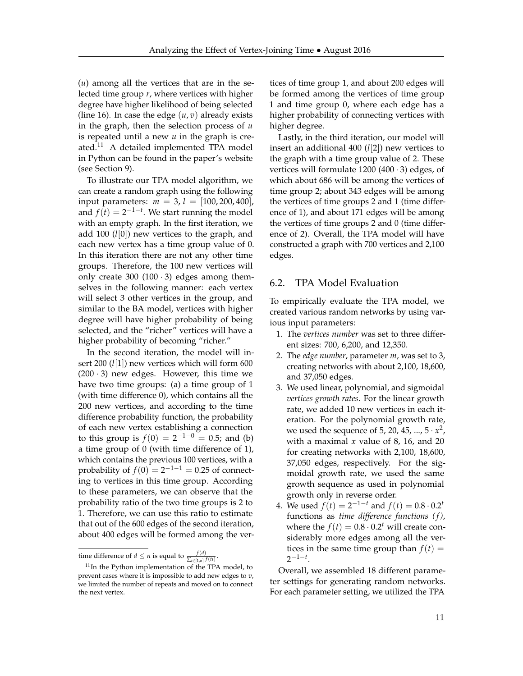(*u*) among all the vertices that are in the selected time group *r*, where vertices with higher degree have higher likelihood of being selected (line 16). In case the edge  $(u, v)$  already exists in the graph, then the selection process of *u* is repeated until a new *u* in the graph is created.[11](#page-10-1) A detailed implemented TPA model in Python can be found in the paper's website (see Section [9\)](#page-12-1).

To illustrate our TPA model algorithm, we can create a random graph using the following input parameters: *m* = 3, *l* = [100, 200, 400], and  $f(t) = 2^{-1-t}$ . We start running the model with an empty graph. In the first iteration, we add 100 (*l*[0]) new vertices to the graph, and each new vertex has a time group value of 0. In this iteration there are not any other time groups. Therefore, the 100 new vertices will only create 300 (100 $\cdot$ 3) edges among themselves in the following manner: each vertex will select 3 other vertices in the group, and similar to the BA model, vertices with higher degree will have higher probability of being selected, and the "richer" vertices will have a higher probability of becoming "richer."

In the second iteration, the model will insert 200 (*l*[1]) new vertices which will form 600  $(200 \cdot 3)$  new edges. However, this time we have two time groups: (a) a time group of 1 (with time difference 0), which contains all the 200 new vertices, and according to the time difference probability function, the probability of each new vertex establishing a connection to this group is  $f(0) = 2^{-1-0} = 0.5$ ; and (b) a time group of 0 (with time difference of 1), which contains the previous 100 vertices, with a probability of  $f(0) = 2^{-1-1} = 0.25$  of connecting to vertices in this time group. According to these parameters, we can observe that the probability ratio of the two time groups is 2 to 1. Therefore, we can use this ratio to estimate that out of the 600 edges of the second iteration, about 400 edges will be formed among the vertices of time group 1, and about 200 edges will be formed among the vertices of time group 1 and time group 0, where each edge has a higher probability of connecting vertices with higher degree.

Lastly, in the third iteration, our model will insert an additional 400 (*l*[2]) new vertices to the graph with a time group value of 2. These vertices will formulate  $1200 (400 \cdot 3)$  edges, of which about 686 will be among the vertices of time group 2; about 343 edges will be among the vertices of time groups 2 and 1 (time difference of 1), and about 171 edges will be among the vertices of time groups 2 and 0 (time difference of 2). Overall, the TPA model will have constructed a graph with 700 vertices and 2,100 edges.

# <span id="page-10-0"></span>6.2. TPA Model Evaluation

To empirically evaluate the TPA model, we created various random networks by using various input parameters:

- 1. The *vertices number* was set to three different sizes: 700, 6,200, and 12,350.
- 2. The *edge number*, parameter *m*, was set to 3, creating networks with about 2,100, 18,600, and 37,050 edges.
- 3. We used linear, polynomial, and sigmoidal *vertices growth rates*. For the linear growth rate, we added 10 new vertices in each iteration. For the polynomial growth rate, we used the sequence of 5, 20, 45, ...,  $5 \cdot x^2$ , with a maximal *x* value of 8, 16, and 20 for creating networks with 2,100, 18,600, 37,050 edges, respectively. For the sigmoidal growth rate, we used the same growth sequence as used in polynomial growth only in reverse order.
- 4. We used  $f(t) = 2^{-1-t}$  and  $f(t) = 0.8 \cdot 0.2^t$ functions as *time difference functions (f)*, where the  $f(t) = 0.8 \cdot 0.2^t$  will create considerably more edges among all the vertices in the same time group than  $f(t) =$  $2^{-1-t}$ .

Overall, we assembled 18 different parameter settings for generating random networks. For each parameter setting, we utilized the TPA

time difference of *d*  $\leq n$  is equal to  $\frac{f(d)}{\sum_{i\in [1,n]} f(it)}$ .

<span id="page-10-1"></span><sup>&</sup>lt;sup>11</sup>In the Python implementation of the TPA model, to prevent cases where it is impossible to add new edges to *v*, we limited the number of repeats and moved on to connect the next vertex.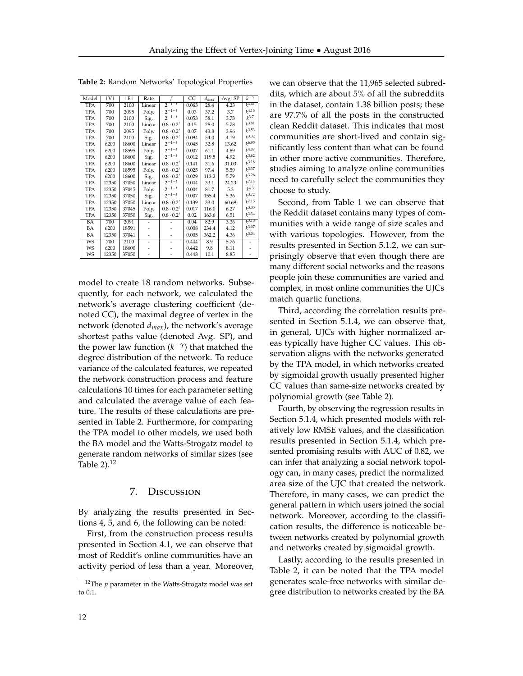Model |V| |E| Rate *<sup>f</sup>* CC *<sup>d</sup>max* Avg. SP *<sup>k</sup>*−*<sup>γ</sup>* TPA 700 2100 Linear 2−1−*<sup>t</sup>* 0.063 28.4 4.23 *k* 4.41 TPA | 700 | 2095 | Poly. | 2<sup>-1−*t*</sup> | 0.03 | 37.2 | 3.7 | k<sup>4</sup>  $k^{4.13}$ TPA 700 2100 Sig. 2−1−*<sup>t</sup>* 0.053 58.1 3.73 *k*  $k^{3.7}$ TPA 700 2100 Linear  $0.8 \cdot 0.2^t$  0.15 28.0 5.78 k<sup>2</sup>  $k^{3.81}$ TPA 700 2095 Poly. 0.8 · 0.2*<sup>t</sup>* 0.07 43.8 3.96 *k*  $k^{3.53}$ TPA 700 2100 Sig.  $0.8 \cdot 0.2^t$  0.094 54.0 4.19<br>TPA 6200 18600 Linear  $2^{-1-t}$  0.045 32.8 13.62  $k^{3.32}$ TPA 6200 18600 Linear 2−1−*<sup>t</sup>* 0.045 32.8 13.62 *k*  $k^{6.95}$ TPA 6200 18595 Poly. 2−1−*<sup>t</sup>* 0.007 61.1 4.89 *k*  $k^{4.07}$ TPA 6200 18600 Sig. 2−1−*<sup>t</sup>* 0.012 119.5 4.92 *k*  $k^{3.62}$ TPA | 6200 | 18600 | Linear |  $0.8 \cdot 0.2^t$  |  $0.141$  |  $31.6$  |  $31.03$  |  $k^2$  $k^{3.18}$ TPA | 6200 | 18595 | Poly. |  $0.8 \cdot 0.2^t$  |  $0.025$  | 97.4 | 5.59 |  $k^2$  $k^{3.37}$ TPA | 6200 | 18600 | Sig. |  $0.8 \cdot 0.2^t$  |  $0.029$  | 113.2 | 5.79 |  $k^2$  $k^{3.26}$ TPA 12350 37050 Linear 2−1−*<sup>t</sup>* 0.044 33.1 24.23 *k*  $k^{7.14}$ TPA | 12350 | 37045 | Poly. | 2<sup>-1-*t*</sup> | 0.004 | 81.7 | 5.3 | k<sup>4</sup>  $k^{4.3}$ TPA 12350 37050 Sig. 2−1−*<sup>t</sup>* 0.007 155.4 5.36 *k*  $k^{3.72}$  $\begin{tabular}{|c|c|c|c|c|c|c|} \hline \text{TPA} & 12350 & 37050 & \text{Sig.} & 2^{-1-t} & 0.007 & 155.4 & 5.36 \\ \hline \text{TPA} & 12350 & 37050 & Linear & 0.8 \cdot 0.2^t & 0.139 & 33.0 & 60.69 \\ \hline \text{TPA} & 12350 & 37045 & \text{Poly.} & 0.8 \cdot 0.2^t & 0.017 & 116.0 & 6.27 \\ \hline \end{tabular}$  $k^{7.15}$ TPA | 12350 | 37045 | Poly. |  $0.8 \cdot 0.2^t$  |  $0.017$  | 116.0 | 6.27 |  $k^2$  $k^{3.35}$ TPA | 12350 | 37050 | Sig. |  $0.8 \cdot 0.2^t$  |  $0.02$  | 163.6 |  $6.51$  |  $k^3$  $k^{3.34}$ BA 700 2091 - - 0.04 82.9 3.36 *k*  $k^{3.13}$ BA | 6200 | 18591 | - | - | 0.008 | 234.4 | 4.12 | k<sup>3</sup>  $k^{3.07}$ BA | 12350 | 37041 | - | - | 0.005 | 362.2 | 4.36 *| k<sup>2</sup>*  $k^{3.04}$ WS | 700 | 2100 | - | - | 0.444 | 8.9 | 5.76 | -WS | 6200 | 18600 | - | - | 0.442 | 9.8 | 8.11 | -WS | 12350 | 37050 | - | - | 0.443 | 10.1 | 8.85 | -

<span id="page-11-1"></span>**Table 2:** Random Networks' Topological Properties

model to create 18 random networks. Subsequently, for each network, we calculated the network's average clustering coefficient (denoted CC), the maximal degree of vertex in the network (denoted *dmax*), the network's average shortest paths value (denoted Avg. SP), and the power law function  $(k^{-\gamma})$  that matched the degree distribution of the network. To reduce variance of the calculated features, we repeated the network construction process and feature calculations 10 times for each parameter setting and calculated the average value of each feature. The results of these calculations are presented in Table [2.](#page-11-1) Furthermore, for comparing the TPA model to other models, we used both the BA model and the Watts-Strogatz model to generate random networks of similar sizes (see Table  $2$ ).<sup>[12](#page-11-2)</sup>

# 7. Discussion

<span id="page-11-0"></span>By analyzing the results presented in Sections [4,](#page-3-1) [5,](#page-5-1) and [6,](#page-8-1) the following can be noted:

First, from the construction process results presented in Section [4.1,](#page-3-4) we can observe that most of Reddit's online communities have an activity period of less than a year. Moreover, we can observe that the 11,965 selected subreddits, which are about 5% of all the subreddits in the dataset, contain 1.38 billion posts; these are 97.7% of all the posts in the constructed clean Reddit dataset. This indicates that most communities are short-lived and contain significantly less content than what can be found in other more active communities. Therefore, studies aiming to analyze online communities need to carefully select the communities they choose to study.

Second, from Table [1](#page-6-0) we can observe that the Reddit dataset contains many types of communities with a wide range of size scales and with various topologies. However, from the results presented in Section [5.1.2,](#page-5-3) we can surprisingly observe that even though there are many different social networks and the reasons people join these communities are varied and complex, in most online communities the UJCs match quartic functions.

Third, according the correlation results presented in Section [5.1.4,](#page-7-0) we can observe that, in general, UJCs with higher normalized areas typically have higher CC values. This observation aligns with the networks generated by the TPA model, in which networks created by sigmoidal growth usually presented higher CC values than same-size networks created by polynomial growth (see Table [2\)](#page-11-1).

Fourth, by observing the regression results in Section [5.1.4,](#page-7-0) which presented models with relatively low RMSE values, and the classification results presented in Section [5.1.4,](#page-7-0) which presented promising results with AUC of 0.82, we can infer that analyzing a social network topology can, in many cases, predict the normalized area size of the UJC that created the network. Therefore, in many cases, we can predict the general pattern in which users joined the social network. Moreover, according to the classification results, the difference is noticeable between networks created by polynomial growth and networks created by sigmoidal growth.

Lastly, according to the results presented in Table [2,](#page-11-1) it can be noted that the TPA model generates scale-free networks with similar degree distribution to networks created by the BA

<span id="page-11-2"></span> $12$ The  $p$  parameter in the Watts-Strogatz model was set to 0.1.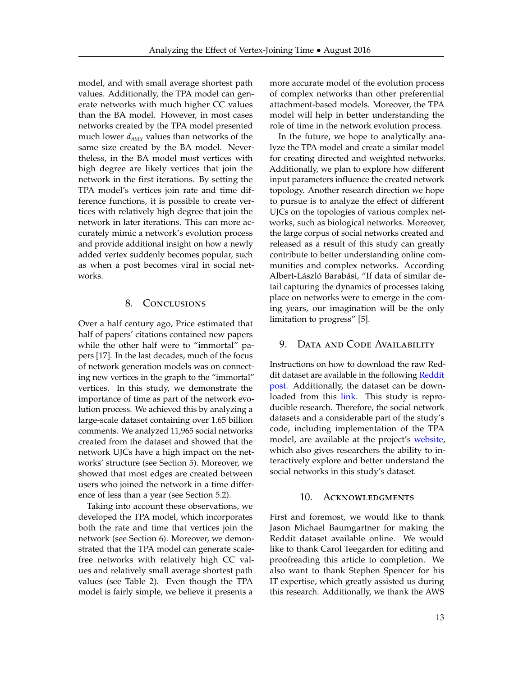model, and with small average shortest path values. Additionally, the TPA model can generate networks with much higher CC values than the BA model. However, in most cases networks created by the TPA model presented much lower *dmax* values than networks of the same size created by the BA model. Nevertheless, in the BA model most vertices with high degree are likely vertices that join the network in the first iterations. By setting the TPA model's vertices join rate and time difference functions, it is possible to create vertices with relatively high degree that join the network in later iterations. This can more accurately mimic a network's evolution process and provide additional insight on how a newly added vertex suddenly becomes popular, such as when a post becomes viral in social networks.

#### 8. Conclusions

<span id="page-12-0"></span>Over a half century ago, Price estimated that half of papers' citations contained new papers while the other half were to "immortal" papers [\[17\]](#page-13-8). In the last decades, much of the focus of network generation models was on connecting new vertices in the graph to the "immortal" vertices. In this study, we demonstrate the importance of time as part of the network evolution process. We achieved this by analyzing a large-scale dataset containing over 1.65 billion comments. We analyzed 11,965 social networks created from the dataset and showed that the network UJCs have a high impact on the networks' structure (see Section [5\)](#page-5-1). Moreover, we showed that most edges are created between users who joined the network in a time difference of less than a year (see Section [5.2\)](#page-8-0).

Taking into account these observations, we developed the TPA model, which incorporates both the rate and time that vertices join the network (see Section [6\)](#page-8-1). Moreover, we demonstrated that the TPA model can generate scalefree networks with relatively high CC values and relatively small average shortest path values (see Table [2\)](#page-11-1). Even though the TPA model is fairly simple, we believe it presents a more accurate model of the evolution process of complex networks than other preferential attachment-based models. Moreover, the TPA model will help in better understanding the role of time in the network evolution process.

In the future, we hope to analytically analyze the TPA model and create a similar model for creating directed and weighted networks. Additionally, we plan to explore how different input parameters influence the created network topology. Another research direction we hope to pursue is to analyze the effect of different UJCs on the topologies of various complex networks, such as biological networks. Moreover, the large corpus of social networks created and released as a result of this study can greatly contribute to better understanding online communities and complex networks. According Albert-László Barabási, "If data of similar detail capturing the dynamics of processes taking place on networks were to emerge in the coming years, our imagination will be the only limitation to progress" [\[5\]](#page-13-18).

# <span id="page-12-1"></span>9. DATA AND CODE AVAILABILITY

Instructions on how to download the raw Red-dit dataset are available in the following [Reddit](https://www.reddit.com/r/datasets/comments/3bxlg7/i_have_every_publicly_available_reddit_comment) [post.](https://www.reddit.com/r/datasets/comments/3bxlg7/i_have_every_publicly_available_reddit_comment) Additionally, the dataset can be downloaded from this [link.](http://files.pushshift.io/reddit/) This study is reproducible research. Therefore, the social network datasets and a considerable part of the study's code, including implementation of the TPA model, are available at the project's [website,](http://homes.cs.washington.edu/~fire/reddatait/) which also gives researchers the ability to interactively explore and better understand the social networks in this study's dataset.

# 10. ACKNOWLEDGMENTS

First and foremost, we would like to thank Jason Michael Baumgartner for making the Reddit dataset available online. We would like to thank Carol Teegarden for editing and proofreading this article to completion. We also want to thank Stephen Spencer for his IT expertise, which greatly assisted us during this research. Additionally, we thank the AWS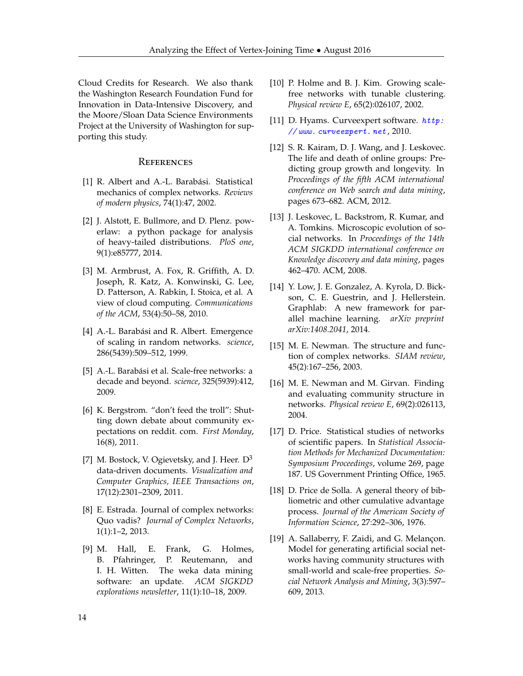Cloud Credits for Research. We also thank the Washington Research Foundation Fund for Innovation in Data-Intensive Discovery, and the Moore/Sloan Data Science Environments Project at the University of Washington for supporting this study.

## **REFERENCES**

- <span id="page-13-4"></span>[1] R. Albert and A.-L. Barabási. Statistical mechanics of complex networks. *Reviews of modern physics*, 74(1):47, 2002.
- <span id="page-13-15"></span>[2] J. Alstott, E. Bullmore, and D. Plenz. powerlaw: a python package for analysis of heavy-tailed distributions. *PloS one*, 9(1):e85777, 2014.
- <span id="page-13-5"></span>[3] M. Armbrust, A. Fox, R. Griffith, A. D. Joseph, R. Katz, A. Konwinski, G. Lee, D. Patterson, A. Rabkin, I. Stoica, et al. A view of cloud computing. *Communications of the ACM*, 53(4):50–58, 2010.
- <span id="page-13-1"></span>[4] A.-L. Barabási and R. Albert. Emergence of scaling in random networks. *science*, 286(5439):509–512, 1999.
- <span id="page-13-18"></span>[5] A.-L. Barabási et al. Scale-free networks: a decade and beyond. *science*, 325(5939):412, 2009.
- <span id="page-13-13"></span>[6] K. Bergstrom. "don't feed the troll": Shutting down debate about community expectations on reddit. com. *First Monday*, 16(8), 2011.
- <span id="page-13-6"></span>[7] M. Bostock, V. Ogievetsky, and J. Heer.  $D^3$ data-driven documents. *Visualization and Computer Graphics, IEEE Transactions on*, 17(12):2301–2309, 2011.
- <span id="page-13-0"></span>[8] E. Estrada. Journal of complex networks: Quo vadis? *Journal of Complex Networks*, 1(1):1–2, 2013.
- <span id="page-13-17"></span>[9] M. Hall, E. Frank, G. Holmes, B. Pfahringer, P. Reutemann, and I. H. Witten. The weka data mining software: an update. *ACM SIGKDD explorations newsletter*, 11(1):10–18, 2009.
- <span id="page-13-2"></span>[10] P. Holme and B. J. Kim. Growing scalefree networks with tunable clustering. *Physical review E*, 65(2):026107, 2002.
- <span id="page-13-16"></span>[11] D. Hyams. Curve expert software.  $http://http://www.101]$  $http://http://www.101]$ [// www. curveexpert. net](http://www.curveexpert.net) , 2010.
- <span id="page-13-14"></span>[12] S. R. Kairam, D. J. Wang, and J. Leskovec. The life and death of online groups: Predicting group growth and longevity. In *Proceedings of the fifth ACM international conference on Web search and data mining*, pages 673–682. ACM, 2012.
- <span id="page-13-12"></span>[13] J. Leskovec, L. Backstrom, R. Kumar, and A. Tomkins. Microscopic evolution of social networks. In *Proceedings of the 14th ACM SIGKDD international conference on Knowledge discovery and data mining*, pages 462–470. ACM, 2008.
- <span id="page-13-7"></span>[14] Y. Low, J. E. Gonzalez, A. Kyrola, D. Bickson, C. E. Guestrin, and J. Hellerstein. Graphlab: A new framework for parallel machine learning. *arXiv preprint arXiv:1408.2041*, 2014.
- <span id="page-13-11"></span>[15] M. E. Newman. The structure and function of complex networks. *SIAM review*, 45(2):167–256, 2003.
- <span id="page-13-10"></span>[16] M. E. Newman and M. Girvan. Finding and evaluating community structure in networks. *Physical review E*, 69(2):026113, 2004.
- <span id="page-13-8"></span>[17] D. Price. Statistical studies of networks of scientific papers. In *Statistical Association Methods for Mechanized Documentation: Symposium Proceedings*, volume 269, page 187. US Government Printing Office, 1965.
- <span id="page-13-9"></span>[18] D. Price de Solla. A general theory of bibliometric and other cumulative advantage process. *Journal of the American Society of Information Science*, 27:292–306, 1976.
- <span id="page-13-3"></span>[19] A. Sallaberry, F. Zaidi, and G. Melançon. Model for generating artificial social networks having community structures with small-world and scale-free properties. *Social Network Analysis and Mining*, 3(3):597– 609, 2013.